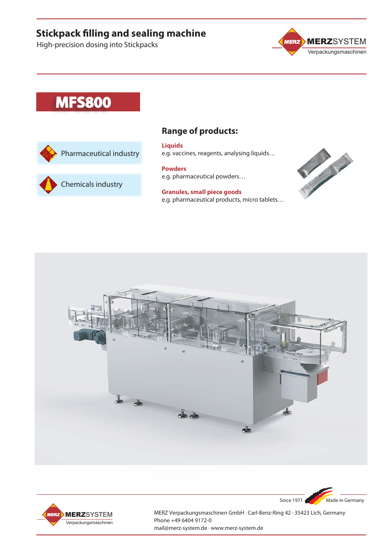# **Stickpack filling and sealing machine**

High-precision dosing into Stickpacks



# **MFS800**





### **Range of products:**

**Liquids** e.g. vaccines, reagents, analysing liquids…

**Powders** e.g. pharmaceutical powders…

**Granules, small piece goods** e.g. pharmaceutical products, micro tablets…



Since 1971 Made in Germany





MERZ Verpackungsmaschinen GmbH · Carl-Benz-Ring 42 · 35423 Lich, Germany Phone +49 6404 9172-0 mail@merz-system.de · www.merz-system.de